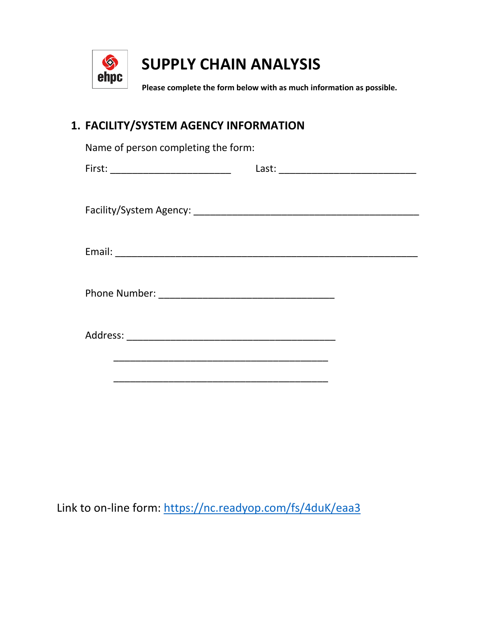

## **SUPPLY CHAIN ANALYSIS**

**Please complete the form below with as much information as possible.**

## **1. FACILITY/SYSTEM AGENCY INFORMATION**

| Name of person completing the form: |  |  |  |
|-------------------------------------|--|--|--|
|                                     |  |  |  |
|                                     |  |  |  |
|                                     |  |  |  |
|                                     |  |  |  |
|                                     |  |  |  |
|                                     |  |  |  |
|                                     |  |  |  |
|                                     |  |  |  |
|                                     |  |  |  |
|                                     |  |  |  |
|                                     |  |  |  |
|                                     |  |  |  |
|                                     |  |  |  |

Link to on-line form:<https://nc.readyop.com/fs/4duK/eaa3>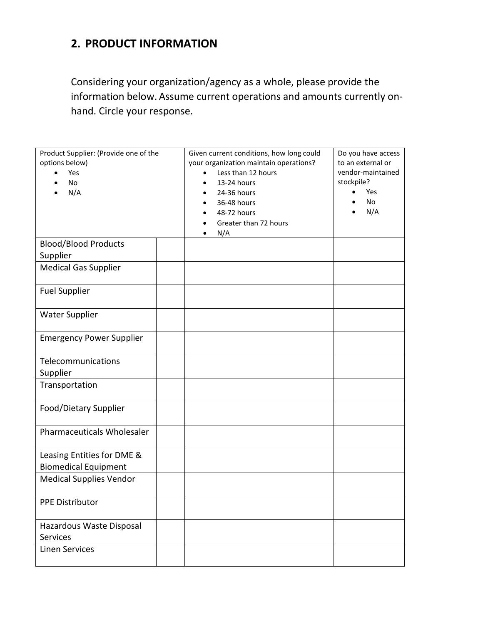## **2. PRODUCT INFORMATION**

Considering your organization/agency as a whole, please provide the information below. Assume current operations and amounts currently onhand. Circle your response.

| Product Supplier: (Provide one of the<br>options below)<br>Yes<br><b>No</b><br>N/A |  | Given current conditions, how long could<br>your organization maintain operations?<br>Less than 12 hours<br>13-24 hours<br>24-36 hours<br>36-48 hours<br>48-72 hours<br>Greater than 72 hours<br>N/A | Do you have access<br>to an external or<br>vendor-maintained<br>stockpile?<br>Yes<br>$\bullet$<br>No<br>N/A |
|------------------------------------------------------------------------------------|--|------------------------------------------------------------------------------------------------------------------------------------------------------------------------------------------------------|-------------------------------------------------------------------------------------------------------------|
| <b>Blood/Blood Products</b><br>Supplier                                            |  |                                                                                                                                                                                                      |                                                                                                             |
| <b>Medical Gas Supplier</b>                                                        |  |                                                                                                                                                                                                      |                                                                                                             |
| <b>Fuel Supplier</b>                                                               |  |                                                                                                                                                                                                      |                                                                                                             |
| <b>Water Supplier</b>                                                              |  |                                                                                                                                                                                                      |                                                                                                             |
| <b>Emergency Power Supplier</b>                                                    |  |                                                                                                                                                                                                      |                                                                                                             |
| Telecommunications<br>Supplier                                                     |  |                                                                                                                                                                                                      |                                                                                                             |
| Transportation                                                                     |  |                                                                                                                                                                                                      |                                                                                                             |
| Food/Dietary Supplier                                                              |  |                                                                                                                                                                                                      |                                                                                                             |
| Pharmaceuticals Wholesaler                                                         |  |                                                                                                                                                                                                      |                                                                                                             |
| Leasing Entities for DME &<br><b>Biomedical Equipment</b>                          |  |                                                                                                                                                                                                      |                                                                                                             |
| <b>Medical Supplies Vendor</b>                                                     |  |                                                                                                                                                                                                      |                                                                                                             |
| <b>PPE Distributor</b>                                                             |  |                                                                                                                                                                                                      |                                                                                                             |
| Hazardous Waste Disposal<br><b>Services</b>                                        |  |                                                                                                                                                                                                      |                                                                                                             |
| <b>Linen Services</b>                                                              |  |                                                                                                                                                                                                      |                                                                                                             |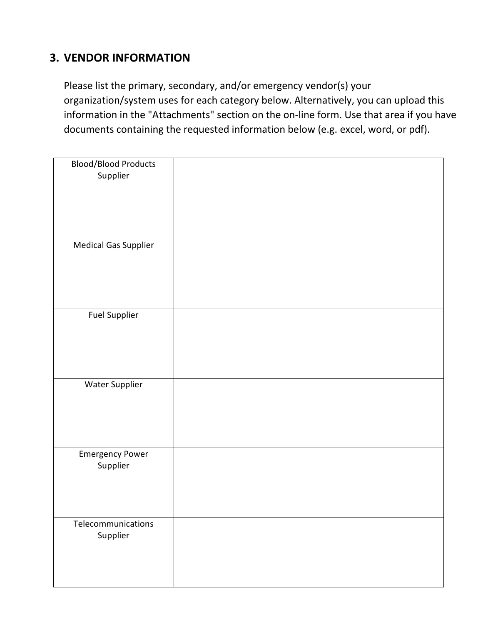## **3. VENDOR INFORMATION**

Please list the primary, secondary, and/or emergency vendor(s) your organization/system uses for each category below. Alternatively, you can upload this information in the "Attachments" section on the on-line form. Use that area if you have documents containing the requested information below (e.g. excel, word, or pdf).

| <b>Blood/Blood Products</b><br>Supplier |  |
|-----------------------------------------|--|
|                                         |  |
| <b>Medical Gas Supplier</b>             |  |
|                                         |  |
| <b>Fuel Supplier</b>                    |  |
| Water Supplier                          |  |
| <b>Emergency Power</b><br>Supplier      |  |
| Telecommunications<br>Supplier          |  |